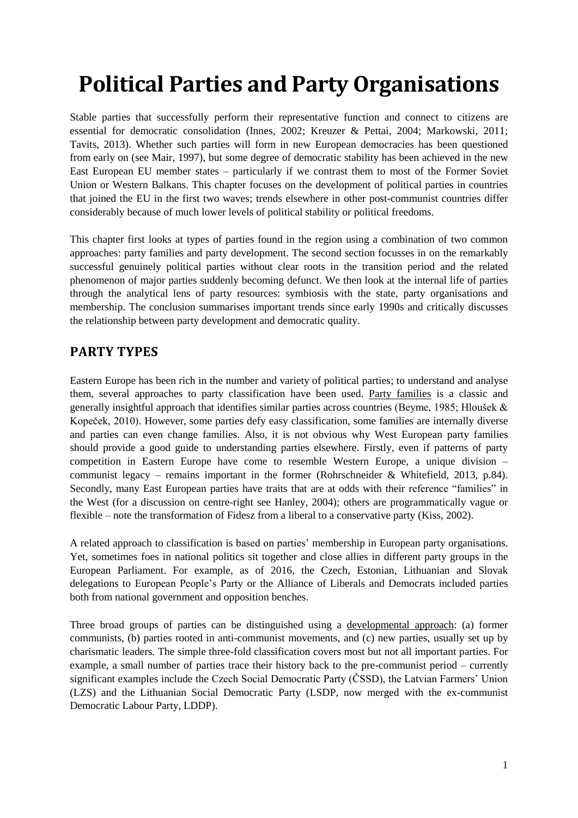# **Political Parties and Party Organisations**

Stable parties that successfully perform their representative function and connect to citizens are essential for democratic consolidation (Innes, 2002; Kreuzer & Pettai, 2004; Markowski, 2011; Tavits, 2013). Whether such parties will form in new European democracies has been questioned from early on (see Mair, 1997), but some degree of democratic stability has been achieved in the new East European EU member states – particularly if we contrast them to most of the Former Soviet Union or Western Balkans. This chapter focuses on the development of political parties in countries that joined the EU in the first two waves; trends elsewhere in other post-communist countries differ considerably because of much lower levels of political stability or political freedoms.

This chapter first looks at types of parties found in the region using a combination of two common approaches: party families and party development. The second section focusses in on the remarkably successful genuinely political parties without clear roots in the transition period and the related phenomenon of major parties suddenly becoming defunct. We then look at the internal life of parties through the analytical lens of party resources: symbiosis with the state, party organisations and membership. The conclusion summarises important trends since early 1990s and critically discusses the relationship between party development and democratic quality.

# **PARTY TYPES**

Eastern Europe has been rich in the number and variety of political parties; to understand and analyse them, several approaches to party classification have been used. Party families is a classic and generally insightful approach that identifies similar parties across countries (Beyme, 1985; Hloušek & Kopeček, 2010). However, some parties defy easy classification, some families are internally diverse and parties can even change families. Also, it is not obvious why West European party families should provide a good guide to understanding parties elsewhere. Firstly, even if patterns of party competition in Eastern Europe have come to resemble Western Europe, a unique division – communist legacy – remains important in the former (Rohrschneider & Whitefield, 2013, p.84). Secondly, many East European parties have traits that are at odds with their reference "families" in the West (for a discussion on centre-right see Hanley, 2004); others are programmatically vague or flexible – note the transformation of Fidesz from a liberal to a conservative party (Kiss, 2002).

A related approach to classification is based on parties' membership in European party organisations. Yet, sometimes foes in national politics sit together and close allies in different party groups in the European Parliament. For example, as of 2016, the Czech, Estonian, Lithuanian and Slovak delegations to European People's Party or the Alliance of Liberals and Democrats included parties both from national government and opposition benches.

Three broad groups of parties can be distinguished using a developmental approach: (a) former communists, (b) parties rooted in anti-communist movements, and (c) new parties, usually set up by charismatic leaders. The simple three-fold classification covers most but not all important parties. For example, a small number of parties trace their history back to the pre-communist period – currently significant examples include the Czech Social Democratic Party (ČSSD), the Latvian Farmers' Union (LZS) and the Lithuanian Social Democratic Party (LSDP, now merged with the ex-communist Democratic Labour Party, LDDP).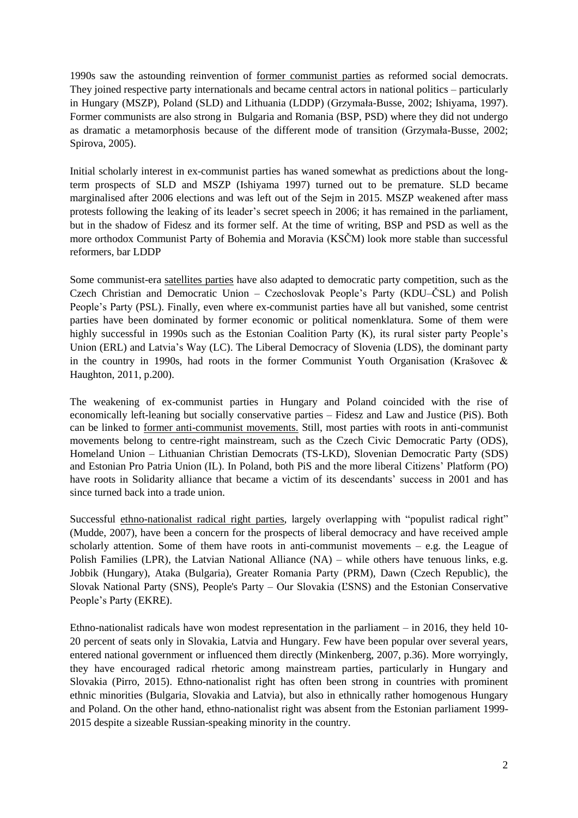1990s saw the astounding reinvention of former communist parties as reformed social democrats. They joined respective party internationals and became central actors in national politics – particularly in Hungary (MSZP), Poland (SLD) and Lithuania (LDDP) (Grzymała-Busse, 2002; Ishiyama, 1997). Former communists are also strong in Bulgaria and Romania (BSP, PSD) where they did not undergo as dramatic a metamorphosis because of the different mode of transition (Grzymała-Busse, 2002; Spirova, 2005).

Initial scholarly interest in ex-communist parties has waned somewhat as predictions about the longterm prospects of SLD and MSZP (Ishiyama 1997) turned out to be premature. SLD became marginalised after 2006 elections and was left out of the Sejm in 2015. MSZP weakened after mass protests following the leaking of its leader's secret speech in 2006; it has remained in the parliament, but in the shadow of Fidesz and its former self. At the time of writing, BSP and PSD as well as the more orthodox Communist Party of Bohemia and Moravia (KSČM) look more stable than successful reformers, bar LDDP

Some communist-era satellites parties have also adapted to democratic party competition, such as the Czech Christian and Democratic Union – Czechoslovak People's Party (KDU–ČSL) and Polish People's Party (PSL). Finally, even where ex-communist parties have all but vanished, some centrist parties have been dominated by former economic or political nomenklatura. Some of them were highly successful in 1990s such as the Estonian Coalition Party (K), its rural sister party People's Union (ERL) and Latvia's Way (LC). The Liberal Democracy of Slovenia (LDS), the dominant party in the country in 1990s, had roots in the former Communist Youth Organisation (Krašovec & Haughton, 2011, p.200).

The weakening of ex-communist parties in Hungary and Poland coincided with the rise of economically left-leaning but socially conservative parties – Fidesz and Law and Justice (PiS). Both can be linked to former anti-communist movements. Still, most parties with roots in anti-communist movements belong to centre-right mainstream, such as the Czech Civic Democratic Party (ODS), Homeland Union – Lithuanian Christian Democrats (TS-LKD), Slovenian Democratic Party (SDS) and Estonian Pro Patria Union (IL). In Poland, both PiS and the more liberal Citizens' Platform (PO) have roots in Solidarity alliance that became a victim of its descendants' success in 2001 and has since turned back into a trade union.

Successful ethno-nationalist radical right parties, largely overlapping with "populist radical right" (Mudde, 2007), have been a concern for the prospects of liberal democracy and have received ample scholarly attention. Some of them have roots in anti-communist movements  $-$  e.g. the League of Polish Families (LPR), the Latvian National Alliance (NA) – while others have tenuous links, e.g. Jobbik (Hungary), Ataka (Bulgaria), Greater Romania Party (PRM), Dawn (Czech Republic), the Slovak National Party (SNS), People's Party – Our Slovakia (ĽSNS) and the Estonian Conservative People's Party (EKRE).

Ethno-nationalist radicals have won modest representation in the parliament – in 2016, they held 10- 20 percent of seats only in Slovakia, Latvia and Hungary. Few have been popular over several years, entered national government or influenced them directly (Minkenberg, 2007, p.36). More worryingly, they have encouraged radical rhetoric among mainstream parties, particularly in Hungary and Slovakia (Pirro, 2015). Ethno-nationalist right has often been strong in countries with prominent ethnic minorities (Bulgaria, Slovakia and Latvia), but also in ethnically rather homogenous Hungary and Poland. On the other hand, ethno-nationalist right was absent from the Estonian parliament 1999- 2015 despite a sizeable Russian-speaking minority in the country.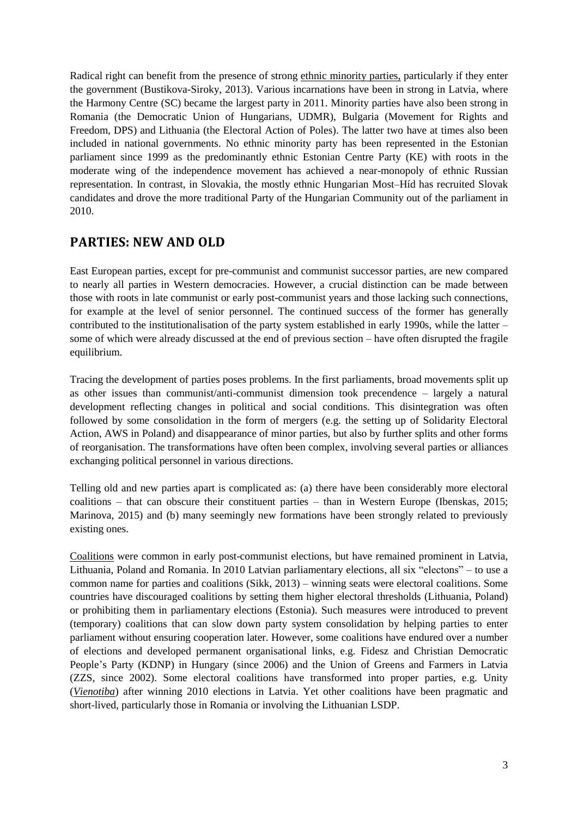Radical right can benefit from the presence of strong ethnic minority parties, particularly if they enter the government (Bustikova-Siroky, 2013). Various incarnations have been in strong in Latvia, where the Harmony Centre (SC) became the largest party in 2011. Minority parties have also been strong in Romania (the Democratic Union of Hungarians, UDMR), Bulgaria (Movement for Rights and Freedom, DPS) and Lithuania (the Electoral Action of Poles). The latter two have at times also been included in national governments. No ethnic minority party has been represented in the Estonian parliament since 1999 as the predominantly ethnic Estonian Centre Party (KE) with roots in the moderate wing of the independence movement has achieved a near-monopoly of ethnic Russian representation. In contrast, in Slovakia, the mostly ethnic Hungarian Most–Híd has recruited Slovak candidates and drove the more traditional Party of the Hungarian Community out of the parliament in 2010.

## **PARTIES: NEW AND OLD**

East European parties, except for pre-communist and communist successor parties, are new compared to nearly all parties in Western democracies. However, a crucial distinction can be made between those with roots in late communist or early post-communist years and those lacking such connections, for example at the level of senior personnel. The continued success of the former has generally contributed to the institutionalisation of the party system established in early 1990s, while the latter – some of which were already discussed at the end of previous section – have often disrupted the fragile equilibrium.

Tracing the development of parties poses problems. In the first parliaments, broad movements split up as other issues than communist/anti-communist dimension took precendence – largely a natural development reflecting changes in political and social conditions. This disintegration was often followed by some consolidation in the form of mergers (e.g. the setting up of Solidarity Electoral Action, AWS in Poland) and disappearance of minor parties, but also by further splits and other forms of reorganisation. The transformations have often been complex, involving several parties or alliances exchanging political personnel in various directions.

Telling old and new parties apart is complicated as: (a) there have been considerably more electoral coalitions – that can obscure their constituent parties – than in Western Europe (Ibenskas, 2015; Marinova, 2015) and (b) many seemingly new formations have been strongly related to previously existing ones.

Coalitions were common in early post-communist elections, but have remained prominent in Latvia, Lithuania, Poland and Romania. In 2010 Latvian parliamentary elections, all six "electons" – to use a common name for parties and coalitions (Sikk, 2013) – winning seats were electoral coalitions. Some countries have discouraged coalitions by setting them higher electoral thresholds (Lithuania, Poland) or prohibiting them in parliamentary elections (Estonia). Such measures were introduced to prevent (temporary) coalitions that can slow down party system consolidation by helping parties to enter parliament without ensuring cooperation later. However, some coalitions have endured over a number of elections and developed permanent organisational links, e.g. Fidesz and Christian Democratic People's Party (KDNP) in Hungary (since 2006) and the Union of Greens and Farmers in Latvia (ZZS, since 2002). Some electoral coalitions have transformed into proper parties, e.g. Unity (*Vienotiba*) after winning 2010 elections in Latvia. Yet other coalitions have been pragmatic and short-lived, particularly those in Romania or involving the Lithuanian LSDP.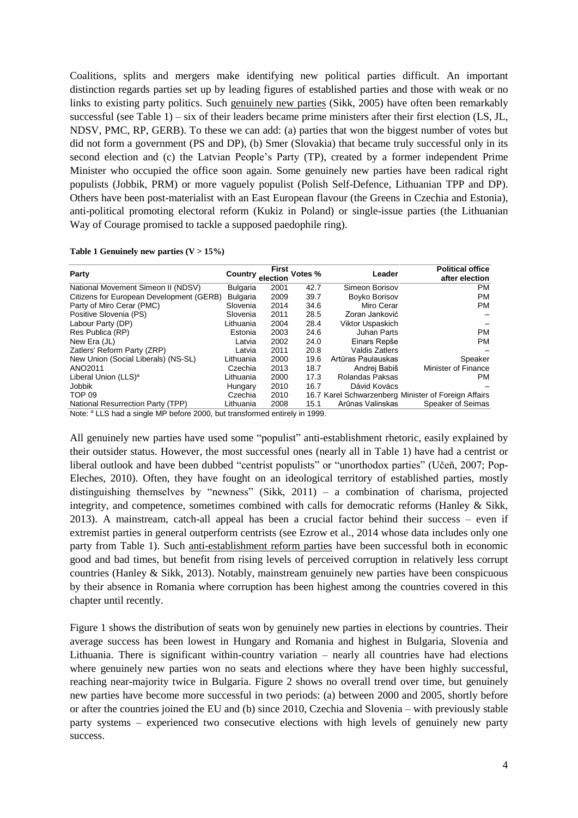Coalitions, splits and mergers make identifying new political parties difficult. An important distinction regards parties set up by leading figures of established parties and those with weak or no links to existing party politics. Such genuinely new parties (Sikk, 2005) have often been remarkably successful (see [Table 1\)](#page-3-0) – six of their leaders became prime ministers after their first election (LS, JL, NDSV, PMC, RP, GERB). To these we can add: (a) parties that won the biggest number of votes but did not form a government (PS and DP), (b) Smer (Slovakia) that became truly successful only in its second election and (c) the Latvian People's Party (TP), created by a former independent Prime Minister who occupied the office soon again. Some genuinely new parties have been radical right populists (Jobbik, PRM) or more vaguely populist (Polish Self-Defence, Lithuanian TPP and DP). Others have been post-materialist with an East European flavour (the Greens in Czechia and Estonia), anti-political promoting electoral reform (Kukiz in Poland) or single-issue parties (the Lithuanian Way of Courage promised to tackle a supposed paedophile ring).

<span id="page-3-0"></span>

| Table 1 Genuinely new parties $(V > 15\%)$ |  |
|--------------------------------------------|--|
|--------------------------------------------|--|

| Party                                    | Country         | election | First <sub>Votes</sub> % | Leader             | <b>Political office</b><br>after election            |
|------------------------------------------|-----------------|----------|--------------------------|--------------------|------------------------------------------------------|
| National Movement Simeon II (NDSV)       | <b>Bulgaria</b> | 2001     | 42.7                     | Simeon Borisov     | <b>PM</b>                                            |
| Citizens for European Development (GERB) | <b>Bulgaria</b> | 2009     | 39.7                     | Boyko Borisov      | <b>PM</b>                                            |
| Party of Miro Cerar (PMC)                | Slovenia        | 2014     | 34.6                     | Miro Cerar         | <b>PM</b>                                            |
| Positive Slovenia (PS)                   | Slovenia        | 2011     | 28.5                     | Zoran Janković     |                                                      |
| Labour Party (DP)                        | Lithuania       | 2004     | 28.4                     | Viktor Uspaskich   |                                                      |
| Res Publica (RP)                         | Estonia         | 2003     | 24.6                     | <b>Juhan Parts</b> | <b>PM</b>                                            |
| New Era (JL)                             | Latvia          | 2002     | 24.0                     | Einars Repše       | <b>PM</b>                                            |
| Zatlers' Reform Party (ZRP)              | Latvia          | 2011     | 20.8                     | Valdis Zatlers     |                                                      |
| New Union (Social Liberals) (NS-SL)      | Lithuania       | 2000     | 19.6                     | Artūras Paulauskas | Speaker                                              |
| ANO2011                                  | Czechia         | 2013     | 18.7                     | Andrej Babiš       | Minister of Finance                                  |
| Liberal Union (LLS) <sup>a</sup>         | Lithuania       | 2000     | 17.3                     | Rolandas Paksas    | <b>PM</b>                                            |
| Jobbik                                   | Hungary         | 2010     | 16.7                     | Dávid Kovács       |                                                      |
| TOP 09                                   | Czechia         | 2010     |                          |                    | 16.7 Karel Schwarzenberg Minister of Foreign Affairs |
| <b>National Resurrection Party (TPP)</b> | Lithuania       | 2008     | 15.1                     | Arūnas Valinskas   | Speaker of Seimas                                    |

Note: <sup>a</sup> LLS had a single MP before 2000, but transformed entirely in 1999.

All genuinely new parties have used some "populist" anti-establishment rhetoric, easily explained by their outsider status. However, the most successful ones (nearly all in [Table 1\)](#page-3-0) have had a centrist or liberal outlook and have been dubbed "centrist populists" or "unorthodox parties" (Učeň, 2007; Pop-Eleches, 2010). Often, they have fought on an ideological territory of established parties, mostly distinguishing themselves by "newness" (Sikk, 2011) – a combination of charisma, projected integrity, and competence, sometimes combined with calls for democratic reforms (Hanley & Sikk, 2013). A mainstream, catch-all appeal has been a crucial factor behind their success – even if extremist parties in general outperform centrists (see Ezrow et al., 2014 whose data includes only one party from Table 1). Such anti-establishment reform parties have been successful both in economic good and bad times, but benefit from rising levels of perceived corruption in relatively less corrupt countries (Hanley & Sikk, 2013). Notably, mainstream genuinely new parties have been conspicuous by their absence in Romania where corruption has been highest among the countries covered in this chapter until recently.

[Figure 1](#page-4-0) shows the distribution of seats won by genuinely new parties in elections by countries. Their average success has been lowest in Hungary and Romania and highest in Bulgaria, Slovenia and Lithuania. There is significant within-country variation – nearly all countries have had elections where genuinely new parties won no seats and elections where they have been highly successful, reaching near-majority twice in Bulgaria. [Figure 2](#page-4-1) shows no overall trend over time, but genuinely new parties have become more successful in two periods: (a) between 2000 and 2005, shortly before or after the countries joined the EU and (b) since 2010, Czechia and Slovenia – with previously stable party systems – experienced two consecutive elections with high levels of genuinely new party success.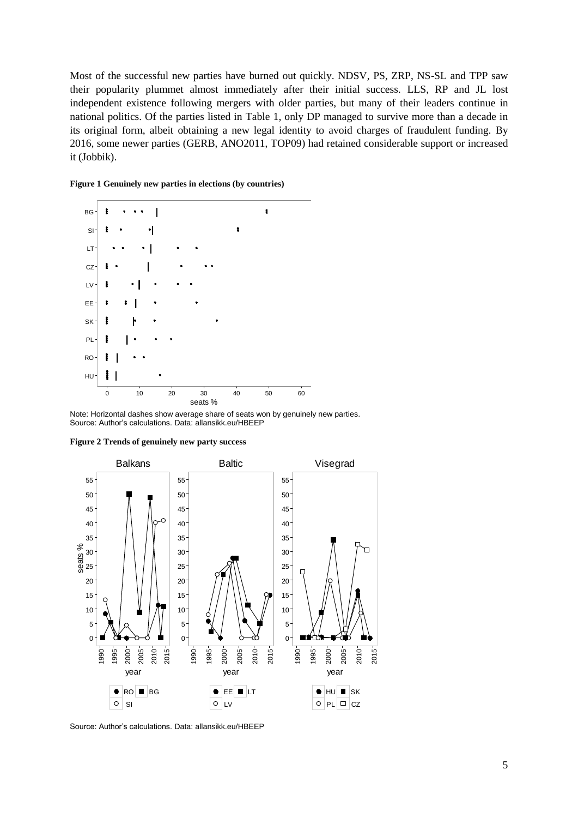Most of the successful new parties have burned out quickly. NDSV, PS, ZRP, NS-SL and TPP saw their popularity plummet almost immediately after their initial success. LLS, RP and JL lost independent existence following mergers with older parties, but many of their leaders continue in national politics. Of the parties listed in [Table 1,](#page-3-0) only DP managed to survive more than a decade in its original form, albeit obtaining a new legal identity to avoid charges of fraudulent funding. By 2016, some newer parties (GERB, ANO2011, TOP09) had retained considerable support or increased it (Jobbik).

#### <span id="page-4-0"></span>**Figure 1 Genuinely new parties in elections (by countries)**



Note: Horizontal dashes show average share of seats won by genuinely new parties. Source: Author's calculations. Data: allansikk.eu/HBEEP

<span id="page-4-1"></span>



Source: Author's calculations. Data: allansikk.eu/HBEEP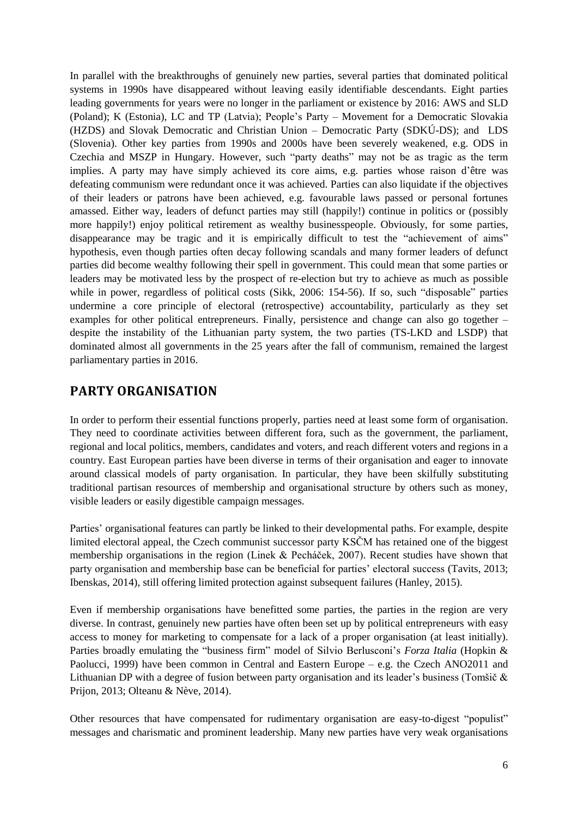In parallel with the breakthroughs of genuinely new parties, several parties that dominated political systems in 1990s have disappeared without leaving easily identifiable descendants. Eight parties leading governments for years were no longer in the parliament or existence by 2016: AWS and SLD (Poland); K (Estonia), LC and TP (Latvia); People's Party – Movement for a Democratic Slovakia (HZDS) and Slovak Democratic and Christian Union – Democratic Party (SDKÚ-DS); and LDS (Slovenia). Other key parties from 1990s and 2000s have been severely weakened, e.g. ODS in Czechia and MSZP in Hungary. However, such "party deaths" may not be as tragic as the term implies. A party may have simply achieved its core aims, e.g. parties whose raison d'être was defeating communism were redundant once it was achieved. Parties can also liquidate if the objectives of their leaders or patrons have been achieved, e.g. favourable laws passed or personal fortunes amassed. Either way, leaders of defunct parties may still (happily!) continue in politics or (possibly more happily!) enjoy political retirement as wealthy businesspeople. Obviously, for some parties, disappearance may be tragic and it is empirically difficult to test the "achievement of aims" hypothesis, even though parties often decay following scandals and many former leaders of defunct parties did become wealthy following their spell in government. This could mean that some parties or leaders may be motivated less by the prospect of re-election but try to achieve as much as possible while in power, regardless of political costs (Sikk, 2006: 154-56). If so, such "disposable" parties undermine a core principle of electoral (retrospective) accountability, particularly as they set examples for other political entrepreneurs. Finally, persistence and change can also go together – despite the instability of the Lithuanian party system, the two parties (TS-LKD and LSDP) that dominated almost all governments in the 25 years after the fall of communism, remained the largest parliamentary parties in 2016.

# **PARTY ORGANISATION**

In order to perform their essential functions properly, parties need at least some form of organisation. They need to coordinate activities between different fora, such as the government, the parliament, regional and local politics, members, candidates and voters, and reach different voters and regions in a country. East European parties have been diverse in terms of their organisation and eager to innovate around classical models of party organisation. In particular, they have been skilfully substituting traditional partisan resources of membership and organisational structure by others such as money, visible leaders or easily digestible campaign messages.

Parties' organisational features can partly be linked to their developmental paths. For example, despite limited electoral appeal, the Czech communist successor party KSČM has retained one of the biggest membership organisations in the region (Linek & Pecháček, 2007). Recent studies have shown that party organisation and membership base can be beneficial for parties' electoral success (Tavits, 2013; Ibenskas, 2014), still offering limited protection against subsequent failures (Hanley, 2015).

Even if membership organisations have benefitted some parties, the parties in the region are very diverse. In contrast, genuinely new parties have often been set up by political entrepreneurs with easy access to money for marketing to compensate for a lack of a proper organisation (at least initially). Parties broadly emulating the "business firm" model of Silvio Berlusconi's *Forza Italia* (Hopkin & Paolucci, 1999) have been common in Central and Eastern Europe – e.g. the Czech ANO2011 and Lithuanian DP with a degree of fusion between party organisation and its leader's business (Tomšič  $\&$ Prijon, 2013; Olteanu & Nève, 2014).

Other resources that have compensated for rudimentary organisation are easy-to-digest "populist" messages and charismatic and prominent leadership. Many new parties have very weak organisations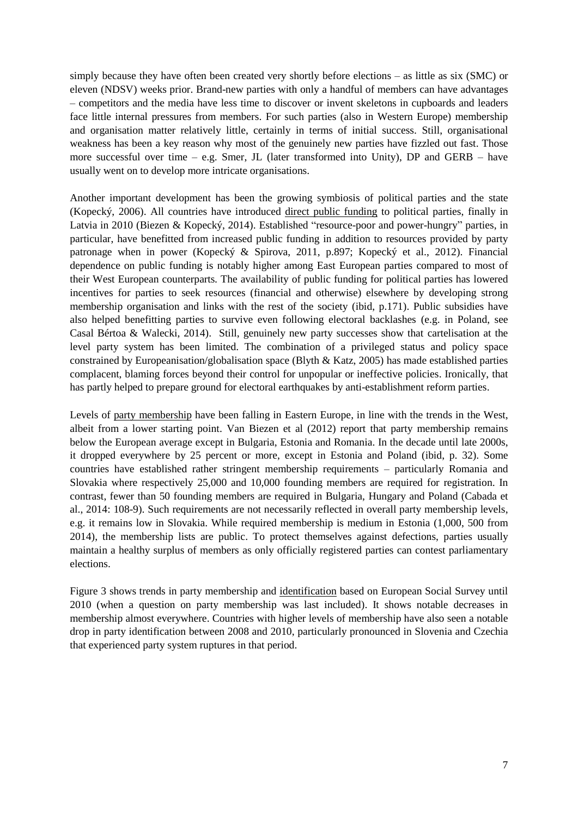simply because they have often been created very shortly before elections – as little as six (SMC) or eleven (NDSV) weeks prior. Brand-new parties with only a handful of members can have advantages – competitors and the media have less time to discover or invent skeletons in cupboards and leaders face little internal pressures from members. For such parties (also in Western Europe) membership and organisation matter relatively little, certainly in terms of initial success. Still, organisational weakness has been a key reason why most of the genuinely new parties have fizzled out fast. Those more successful over time – e.g. Smer, JL (later transformed into Unity), DP and GERB – have usually went on to develop more intricate organisations.

Another important development has been the growing symbiosis of political parties and the state (Kopecký, 2006). All countries have introduced direct public funding to political parties, finally in Latvia in 2010 (Biezen & Kopecký, 2014). Established "resource-poor and power-hungry" parties, in particular, have benefitted from increased public funding in addition to resources provided by party patronage when in power (Kopecký & Spirova, 2011, p.897; Kopecký et al., 2012). Financial dependence on public funding is notably higher among East European parties compared to most of their West European counterparts*.* The availability of public funding for political parties has lowered incentives for parties to seek resources (financial and otherwise) elsewhere by developing strong membership organisation and links with the rest of the society (ibid, p.171). Public subsidies have also helped benefitting parties to survive even following electoral backlashes (e.g. in Poland, see Casal Bértoa & Walecki, 2014). Still, genuinely new party successes show that cartelisation at the level party system has been limited. The combination of a privileged status and policy space constrained by Europeanisation/globalisation space (Blyth & Katz, 2005) has made established parties complacent, blaming forces beyond their control for unpopular or ineffective policies. Ironically, that has partly helped to prepare ground for electoral earthquakes by anti-establishment reform parties.

Levels of party membership have been falling in Eastern Europe, in line with the trends in the West, albeit from a lower starting point. Van Biezen et al (2012) report that party membership remains below the European average except in Bulgaria, Estonia and Romania. In the decade until late 2000s, it dropped everywhere by 25 percent or more, except in Estonia and Poland (ibid, p. 32). Some countries have established rather stringent membership requirements – particularly Romania and Slovakia where respectively 25,000 and 10,000 founding members are required for registration. In contrast, fewer than 50 founding members are required in Bulgaria, Hungary and Poland (Cabada et al., 2014: 108-9). Such requirements are not necessarily reflected in overall party membership levels, e.g. it remains low in Slovakia. While required membership is medium in Estonia (1,000, 500 from 2014), the membership lists are public. To protect themselves against defections, parties usually maintain a healthy surplus of members as only officially registered parties can contest parliamentary elections.

[Figure 3](#page-7-0) shows trends in party membership and identification based on European Social Survey until 2010 (when a question on party membership was last included). It shows notable decreases in membership almost everywhere. Countries with higher levels of membership have also seen a notable drop in party identification between 2008 and 2010, particularly pronounced in Slovenia and Czechia that experienced party system ruptures in that period.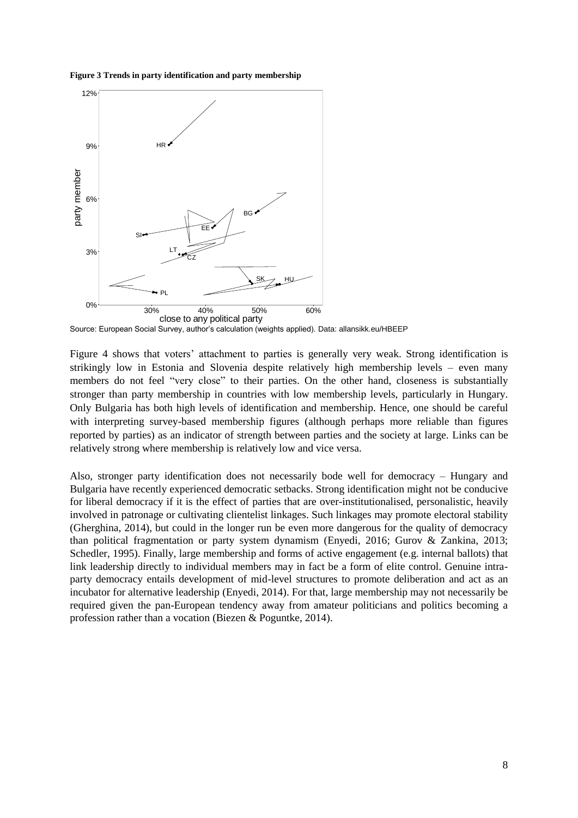<span id="page-7-0"></span>**Figure 3 Trends in party identification and party membership**



Source: European Social Survey, author's calculation (weights applied). Data: allansikk.eu/HBEEP

[Figure 4](#page-8-0) shows that voters' attachment to parties is generally very weak. Strong identification is strikingly low in Estonia and Slovenia despite relatively high membership levels – even many members do not feel "very close" to their parties. On the other hand, closeness is substantially stronger than party membership in countries with low membership levels, particularly in Hungary. Only Bulgaria has both high levels of identification and membership. Hence, one should be careful with interpreting survey-based membership figures (although perhaps more reliable than figures reported by parties) as an indicator of strength between parties and the society at large. Links can be relatively strong where membership is relatively low and vice versa.

Also, stronger party identification does not necessarily bode well for democracy – Hungary and Bulgaria have recently experienced democratic setbacks. Strong identification might not be conducive for liberal democracy if it is the effect of parties that are over-institutionalised, personalistic, heavily involved in patronage or cultivating clientelist linkages. Such linkages may promote electoral stability (Gherghina, 2014), but could in the longer run be even more dangerous for the quality of democracy than political fragmentation or party system dynamism (Enyedi, 2016; Gurov & Zankina, 2013; Schedler, 1995). Finally, large membership and forms of active engagement (e.g. internal ballots) that link leadership directly to individual members may in fact be a form of elite control. Genuine intraparty democracy entails development of mid-level structures to promote deliberation and act as an incubator for alternative leadership (Enyedi, 2014). For that, large membership may not necessarily be required given the pan-European tendency away from amateur politicians and politics becoming a profession rather than a vocation (Biezen & Poguntke, 2014).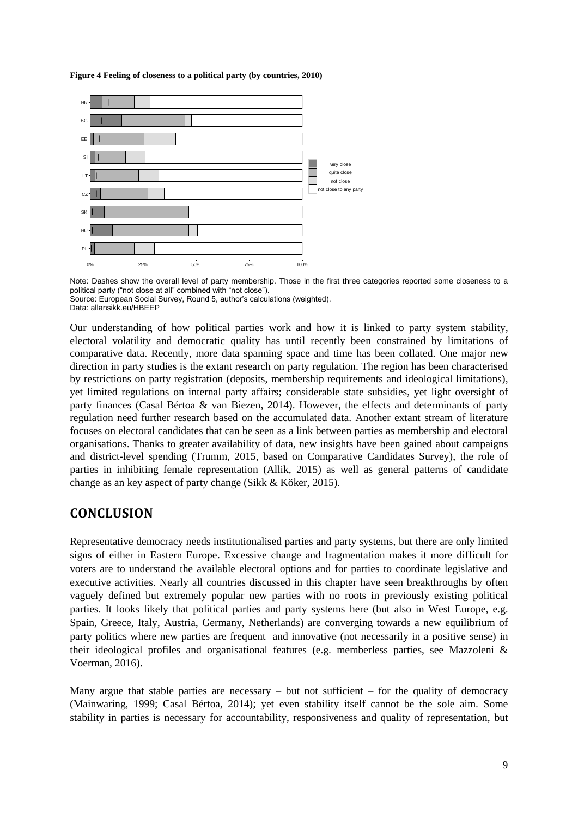#### <span id="page-8-0"></span>**Figure 4 Feeling of closeness to a political party (by countries, 2010)**



Note: Dashes show the overall level of party membership. Those in the first three categories reported some closeness to a political party ("not close at all" combined with "not close"). Source: European Social Survey, Round 5, author's calculations (weighted). Data: allansikk.eu/HBEEP

Our understanding of how political parties work and how it is linked to party system stability, electoral volatility and democratic quality has until recently been constrained by limitations of comparative data. Recently, more data spanning space and time has been collated. One major new direction in party studies is the extant research on party regulation. The region has been characterised by restrictions on party registration (deposits, membership requirements and ideological limitations), yet limited regulations on internal party affairs; considerable state subsidies, yet light oversight of party finances (Casal Bértoa & van Biezen, 2014). However, the effects and determinants of party regulation need further research based on the accumulated data. Another extant stream of literature focuses on electoral candidates that can be seen as a link between parties as membership and electoral organisations. Thanks to greater availability of data, new insights have been gained about campaigns and district-level spending (Trumm, 2015, based on Comparative Candidates Survey), the role of parties in inhibiting female representation (Allik, 2015) as well as general patterns of candidate change as an key aspect of party change (Sikk & Köker, 2015).

## **CONCLUSION**

Representative democracy needs institutionalised parties and party systems, but there are only limited signs of either in Eastern Europe. Excessive change and fragmentation makes it more difficult for voters are to understand the available electoral options and for parties to coordinate legislative and executive activities. Nearly all countries discussed in this chapter have seen breakthroughs by often vaguely defined but extremely popular new parties with no roots in previously existing political parties. It looks likely that political parties and party systems here (but also in West Europe, e.g. Spain, Greece, Italy, Austria, Germany, Netherlands) are converging towards a new equilibrium of party politics where new parties are frequent and innovative (not necessarily in a positive sense) in their ideological profiles and organisational features (e.g. memberless parties, see Mazzoleni & Voerman, 2016).

Many argue that stable parties are necessary  $-$  but not sufficient  $-$  for the quality of democracy (Mainwaring, 1999; Casal Bértoa, 2014); yet even stability itself cannot be the sole aim. Some stability in parties is necessary for accountability, responsiveness and quality of representation, but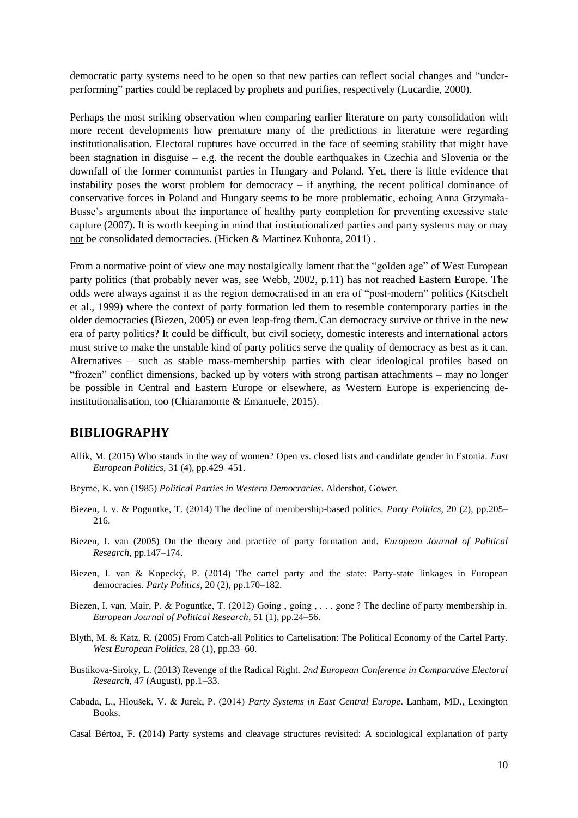democratic party systems need to be open so that new parties can reflect social changes and "underperforming" parties could be replaced by prophets and purifies, respectively (Lucardie, 2000).

Perhaps the most striking observation when comparing earlier literature on party consolidation with more recent developments how premature many of the predictions in literature were regarding institutionalisation. Electoral ruptures have occurred in the face of seeming stability that might have been stagnation in disguise – e.g. the recent the double earthquakes in Czechia and Slovenia or the downfall of the former communist parties in Hungary and Poland. Yet, there is little evidence that instability poses the worst problem for democracy – if anything, the recent political dominance of conservative forces in Poland and Hungary seems to be more problematic, echoing Anna Grzymała-Busse's arguments about the importance of healthy party completion for preventing excessive state capture (2007). It is worth keeping in mind that institutionalized parties and party systems may or may not be consolidated democracies. (Hicken & Martinez Kuhonta, 2011) .

From a normative point of view one may nostalgically lament that the "golden age" of West European party politics (that probably never was, see Webb, 2002, p.11) has not reached Eastern Europe. The odds were always against it as the region democratised in an era of "post-modern" politics (Kitschelt et al., 1999) where the context of party formation led them to resemble contemporary parties in the older democracies (Biezen, 2005) or even leap-frog them. Can democracy survive or thrive in the new era of party politics? It could be difficult, but civil society, domestic interests and international actors must strive to make the unstable kind of party politics serve the quality of democracy as best as it can. Alternatives – such as stable mass-membership parties with clear ideological profiles based on "frozen" conflict dimensions, backed up by voters with strong partisan attachments – may no longer be possible in Central and Eastern Europe or elsewhere, as Western Europe is experiencing deinstitutionalisation, too (Chiaramonte & Emanuele, 2015).

### **BIBLIOGRAPHY**

- Allik, M. (2015) Who stands in the way of women? Open vs. closed lists and candidate gender in Estonia. *East European Politics*, 31 (4), pp.429–451.
- Beyme, K. von (1985) *Political Parties in Western Democracies*. Aldershot, Gower.
- Biezen, I. v. & Poguntke, T. (2014) The decline of membership-based politics. *Party Politics*, 20 (2), pp.205– 216.
- Biezen, I. van (2005) On the theory and practice of party formation and. *European Journal of Political Research*, pp.147–174.
- Biezen, I. van & Kopecký, P. (2014) The cartel party and the state: Party-state linkages in European democracies. *Party Politics*, 20 (2), pp.170–182.
- Biezen, I. van, Mair, P. & Poguntke, T. (2012) Going , going , . . . gone ? The decline of party membership in. *European Journal of Political Research*, 51 (1), pp.24–56.
- Blyth, M. & Katz, R. (2005) From Catch-all Politics to Cartelisation: The Political Economy of the Cartel Party. *West European Politics*, 28 (1), pp.33–60.
- Bustikova-Siroky, L. (2013) Revenge of the Radical Right. *2nd European Conference in Comparative Electoral Research*, 47 (August), pp.1–33.
- Cabada, L., Hloušek, V. & Jurek, P. (2014) *Party Systems in East Central Europe*. Lanham, MD., Lexington Books.
- Casal Bértoa, F. (2014) Party systems and cleavage structures revisited: A sociological explanation of party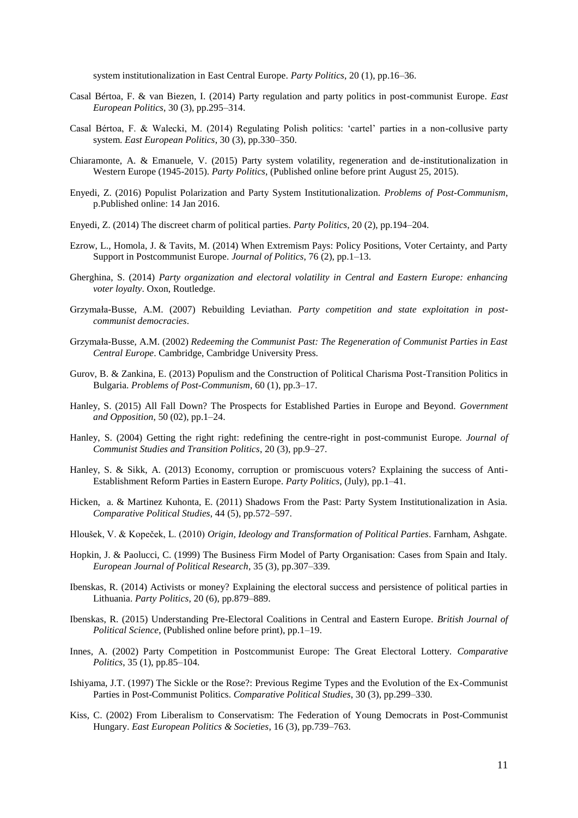system institutionalization in East Central Europe. *Party Politics*, 20 (1), pp.16–36.

- Casal Bértoa, F. & van Biezen, I. (2014) Party regulation and party politics in post-communist Europe. *East European Politics*, 30 (3), pp.295–314.
- Casal Bértoa, F. & Walecki, M. (2014) Regulating Polish politics: 'cartel' parties in a non-collusive party system. *East European Politics*, 30 (3), pp.330–350.
- Chiaramonte, A. & Emanuele, V. (2015) Party system volatility, regeneration and de-institutionalization in Western Europe (1945-2015). *Party Politics*, (Published online before print August 25, 2015).
- Enyedi, Z. (2016) Populist Polarization and Party System Institutionalization. *Problems of Post-Communism*, p.Published online: 14 Jan 2016.
- Enyedi, Z. (2014) The discreet charm of political parties. *Party Politics*, 20 (2), pp.194–204.
- Ezrow, L., Homola, J. & Tavits, M. (2014) When Extremism Pays: Policy Positions, Voter Certainty, and Party Support in Postcommunist Europe. *Journal of Politics*, 76 (2), pp.1–13.
- Gherghina, S. (2014) *Party organization and electoral volatility in Central and Eastern Europe: enhancing voter loyalty*. Oxon, Routledge.
- Grzymała-Busse, A.M. (2007) Rebuilding Leviathan. *Party competition and state exploitation in postcommunist democracies*.
- Grzymała-Busse, A.M. (2002) *Redeeming the Communist Past: The Regeneration of Communist Parties in East Central Europe*. Cambridge, Cambridge University Press.
- Gurov, B. & Zankina, E. (2013) Populism and the Construction of Political Charisma Post-Transition Politics in Bulgaria. *Problems of Post-Communism*, 60 (1), pp.3–17.
- Hanley, S. (2015) All Fall Down? The Prospects for Established Parties in Europe and Beyond. *Government and Opposition*, 50 (02), pp.1–24.
- Hanley, S. (2004) Getting the right right: redefining the centre-right in post-communist Europe. *Journal of Communist Studies and Transition Politics*, 20 (3), pp.9–27.
- Hanley, S. & Sikk, A. (2013) Economy, corruption or promiscuous voters? Explaining the success of Anti-Establishment Reform Parties in Eastern Europe. *Party Politics*, (July), pp.1–41.
- Hicken, a. & Martinez Kuhonta, E. (2011) Shadows From the Past: Party System Institutionalization in Asia. *Comparative Political Studies*, 44 (5), pp.572–597.
- Hloušek, V. & Kopeček, L. (2010) *Origin, Ideology and Transformation of Political Parties*. Farnham, Ashgate.
- Hopkin, J. & Paolucci, C. (1999) The Business Firm Model of Party Organisation: Cases from Spain and Italy. *European Journal of Political Research*, 35 (3), pp.307–339.
- Ibenskas, R. (2014) Activists or money? Explaining the electoral success and persistence of political parties in Lithuania. *Party Politics*, 20 (6), pp.879–889.
- Ibenskas, R. (2015) Understanding Pre-Electoral Coalitions in Central and Eastern Europe. *British Journal of Political Science*, (Published online before print), pp.1–19.
- Innes, A. (2002) Party Competition in Postcommunist Europe: The Great Electoral Lottery. *Comparative Politics*, 35 (1), pp.85–104.
- Ishiyama, J.T. (1997) The Sickle or the Rose?: Previous Regime Types and the Evolution of the Ex-Communist Parties in Post-Communist Politics. *Comparative Political Studies*, 30 (3), pp.299–330.
- Kiss, C. (2002) From Liberalism to Conservatism: The Federation of Young Democrats in Post-Communist Hungary. *East European Politics & Societies*, 16 (3), pp.739–763.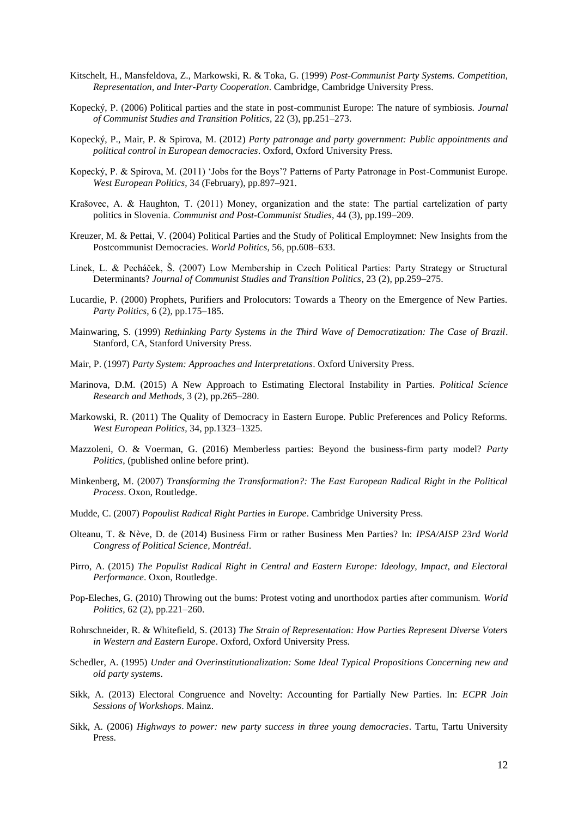- Kitschelt, H., Mansfeldova, Z., Markowski, R. & Toka, G. (1999) *Post-Communist Party Systems. Competition, Representation, and Inter-Party Cooperation*. Cambridge, Cambridge University Press.
- Kopecký, P. (2006) Political parties and the state in post-communist Europe: The nature of symbiosis. *Journal of Communist Studies and Transition Politics*, 22 (3), pp.251–273.
- Kopecký, P., Mair, P. & Spirova, M. (2012) *Party patronage and party government: Public appointments and political control in European democracies*. Oxford, Oxford University Press.
- Kopecký, P. & Spirova, M. (2011) 'Jobs for the Boys'? Patterns of Party Patronage in Post-Communist Europe. *West European Politics*, 34 (February), pp.897–921.
- Krašovec, A. & Haughton, T. (2011) Money, organization and the state: The partial cartelization of party politics in Slovenia. *Communist and Post-Communist Studies*, 44 (3), pp.199–209.
- Kreuzer, M. & Pettai, V. (2004) Political Parties and the Study of Political Employmnet: New Insights from the Postcommunist Democracies. *World Politics*, 56, pp.608–633.
- Linek, L. & Pecháček, Š. (2007) Low Membership in Czech Political Parties: Party Strategy or Structural Determinants? *Journal of Communist Studies and Transition Politics*, 23 (2), pp.259–275.
- Lucardie, P. (2000) Prophets, Purifiers and Prolocutors: Towards a Theory on the Emergence of New Parties. *Party Politics*, 6 (2), pp.175–185.
- Mainwaring, S. (1999) *Rethinking Party Systems in the Third Wave of Democratization: The Case of Brazil*. Stanford, CA, Stanford University Press.
- Mair, P. (1997) *Party System: Approaches and Interpretations*. Oxford University Press.
- Marinova, D.M. (2015) A New Approach to Estimating Electoral Instability in Parties. *Political Science Research and Methods*, 3 (2), pp.265–280.
- Markowski, R. (2011) The Quality of Democracy in Eastern Europe. Public Preferences and Policy Reforms. *West European Politics*, 34, pp.1323–1325.
- Mazzoleni, O. & Voerman, G. (2016) Memberless parties: Beyond the business-firm party model? *Party Politics*, (published online before print).
- Minkenberg, M. (2007) *Transforming the Transformation?: The East European Radical Right in the Political Process*. Oxon, Routledge.
- Mudde, C. (2007) *Popoulist Radical Right Parties in Europe*. Cambridge University Press.
- Olteanu, T. & Nève, D. de (2014) Business Firm or rather Business Men Parties? In: *IPSA/AISP 23rd World Congress of Political Science, Montréal*.
- Pirro, A. (2015) *The Populist Radical Right in Central and Eastern Europe: Ideology, Impact, and Electoral Performance*. Oxon, Routledge.
- Pop-Eleches, G. (2010) Throwing out the bums: Protest voting and unorthodox parties after communism. *World Politics*, 62 (2), pp.221–260.
- Rohrschneider, R. & Whitefield, S. (2013) *The Strain of Representation: How Parties Represent Diverse Voters in Western and Eastern Europe*. Oxford, Oxford University Press.
- Schedler, A. (1995) *Under and Overinstitutionalization: Some Ideal Typical Propositions Concerning new and old party systems*.
- Sikk, A. (2013) Electoral Congruence and Novelty: Accounting for Partially New Parties. In: *ECPR Join Sessions of Workshops*. Mainz.
- Sikk, A. (2006) *Highways to power: new party success in three young democracies*. Tartu, Tartu University Press.